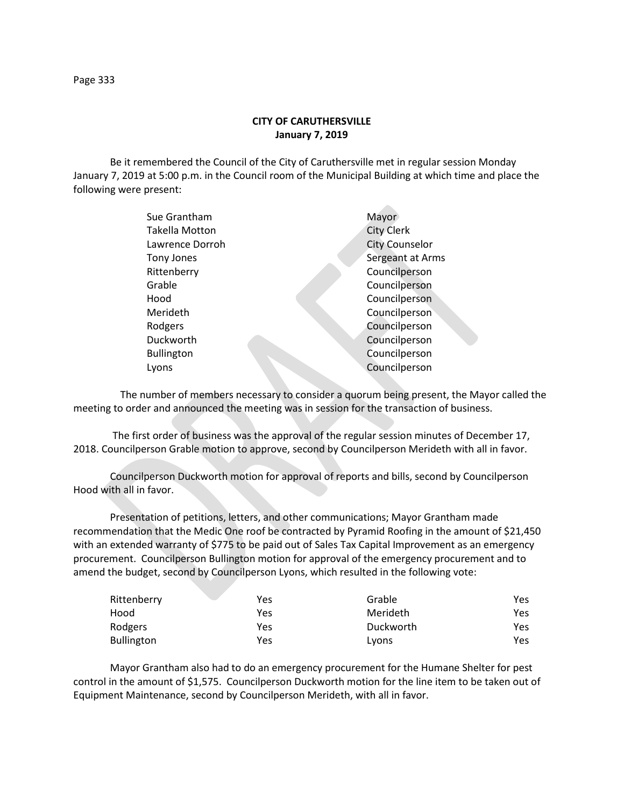## **CITY OF CARUTHERSVILLE January 7, 2019**

Be it remembered the Council of the City of Caruthersville met in regular session Monday January 7, 2019 at 5:00 p.m. in the Council room of the Municipal Building at which time and place the following were present:

| Sue Grantham      | Mayor                 |
|-------------------|-----------------------|
| Takella Motton    | <b>City Clerk</b>     |
| Lawrence Dorroh   | <b>City Counselor</b> |
| Tony Jones        | Sergeant at Arms      |
| Rittenberry       | Councilperson         |
| Grable            | Councilperson         |
| Hood              | Councilperson         |
| Merideth          | Councilperson         |
| Rodgers           | Councilperson         |
| Duckworth         | Councilperson         |
| <b>Bullington</b> | Councilperson         |
| Lyons             | Councilperson         |
|                   |                       |

 The number of members necessary to consider a quorum being present, the Mayor called the meeting to order and announced the meeting was in session for the transaction of business.

The first order of business was the approval of the regular session minutes of December 17, 2018. Councilperson Grable motion to approve, second by Councilperson Merideth with all in favor.

Councilperson Duckworth motion for approval of reports and bills, second by Councilperson Hood with all in favor.

Presentation of petitions, letters, and other communications; Mayor Grantham made recommendation that the Medic One roof be contracted by Pyramid Roofing in the amount of \$21,450 with an extended warranty of \$775 to be paid out of Sales Tax Capital Improvement as an emergency procurement. Councilperson Bullington motion for approval of the emergency procurement and to amend the budget, second by Councilperson Lyons, which resulted in the following vote:

| Rittenberry       | Yes | Grable    | Yes  |
|-------------------|-----|-----------|------|
| Hood              | Yes | Merideth  | Yes  |
| Rodgers           | Yes | Duckworth | Yes  |
| <b>Bullington</b> | Yes | Lyons     | Yes. |

Mayor Grantham also had to do an emergency procurement for the Humane Shelter for pest control in the amount of \$1,575. Councilperson Duckworth motion for the line item to be taken out of Equipment Maintenance, second by Councilperson Merideth, with all in favor.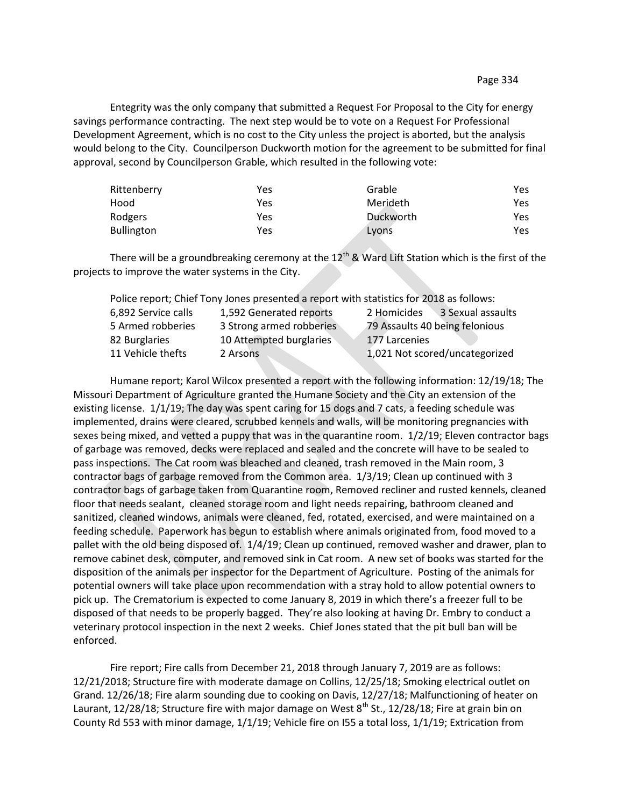Entegrity was the only company that submitted a Request For Proposal to the City for energy savings performance contracting. The next step would be to vote on a Request For Professional Development Agreement, which is no cost to the City unless the project is aborted, but the analysis would belong to the City. Councilperson Duckworth motion for the agreement to be submitted for final approval, second by Councilperson Grable, which resulted in the following vote:

| Rittenberry       | Yes | Grable    | Yes |
|-------------------|-----|-----------|-----|
| Hood              | Yes | Merideth  | Yes |
| Rodgers           | Yes | Duckworth | Yes |
| <b>Bullington</b> | Yes | Lyons     | Yes |

There will be a groundbreaking ceremony at the  $12<sup>th</sup>$  & Ward Lift Station which is the first of the projects to improve the water systems in the City.

|                     | Police report; Chief Tony Jones presented a report with statistics for 2018 as follows: |                                  |
|---------------------|-----------------------------------------------------------------------------------------|----------------------------------|
| 6,892 Service calls | 1,592 Generated reports                                                                 | 3 Sexual assaults<br>2 Homicides |
| 5 Armed robberies   | 3 Strong armed robberies                                                                | 79 Assaults 40 being felonious   |
| 82 Burglaries       | 10 Attempted burglaries                                                                 | 177 Larcenies                    |
| 11 Vehicle thefts   | 2 Arsons                                                                                | 1,021 Not scored/uncategorized   |

Humane report; Karol Wilcox presented a report with the following information: 12/19/18; The Missouri Department of Agriculture granted the Humane Society and the City an extension of the existing license. 1/1/19; The day was spent caring for 15 dogs and 7 cats, a feeding schedule was implemented, drains were cleared, scrubbed kennels and walls, will be monitoring pregnancies with sexes being mixed, and vetted a puppy that was in the quarantine room. 1/2/19; Eleven contractor bags of garbage was removed, decks were replaced and sealed and the concrete will have to be sealed to pass inspections. The Cat room was bleached and cleaned, trash removed in the Main room, 3 contractor bags of garbage removed from the Common area. 1/3/19; Clean up continued with 3 contractor bags of garbage taken from Quarantine room, Removed recliner and rusted kennels, cleaned floor that needs sealant, cleaned storage room and light needs repairing, bathroom cleaned and sanitized, cleaned windows, animals were cleaned, fed, rotated, exercised, and were maintained on a feeding schedule. Paperwork has begun to establish where animals originated from, food moved to a pallet with the old being disposed of. 1/4/19; Clean up continued, removed washer and drawer, plan to remove cabinet desk, computer, and removed sink in Cat room. A new set of books was started for the disposition of the animals per inspector for the Department of Agriculture. Posting of the animals for potential owners will take place upon recommendation with a stray hold to allow potential owners to pick up. The Crematorium is expected to come January 8, 2019 in which there's a freezer full to be disposed of that needs to be properly bagged. They're also looking at having Dr. Embry to conduct a veterinary protocol inspection in the next 2 weeks. Chief Jones stated that the pit bull ban will be enforced.

Fire report; Fire calls from December 21, 2018 through January 7, 2019 are as follows: 12/21/2018; Structure fire with moderate damage on Collins, 12/25/18; Smoking electrical outlet on Grand. 12/26/18; Fire alarm sounding due to cooking on Davis, 12/27/18; Malfunctioning of heater on Laurant, 12/28/18; Structure fire with major damage on West  $8^{th}$  St., 12/28/18; Fire at grain bin on County Rd 553 with minor damage, 1/1/19; Vehicle fire on I55 a total loss, 1/1/19; Extrication from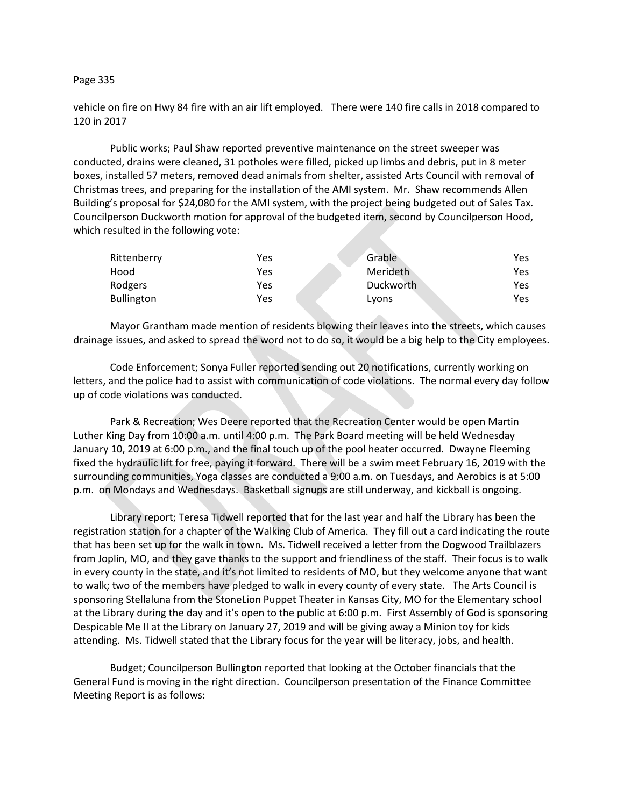## Page 335

vehicle on fire on Hwy 84 fire with an air lift employed. There were 140 fire calls in 2018 compared to 120 in 2017

Public works; Paul Shaw reported preventive maintenance on the street sweeper was conducted, drains were cleaned, 31 potholes were filled, picked up limbs and debris, put in 8 meter boxes, installed 57 meters, removed dead animals from shelter, assisted Arts Council with removal of Christmas trees, and preparing for the installation of the AMI system. Mr. Shaw recommends Allen Building's proposal for \$24,080 for the AMI system, with the project being budgeted out of Sales Tax*.*  Councilperson Duckworth motion for approval of the budgeted item, second by Councilperson Hood, which resulted in the following vote:

| Rittenberry       | Yes | Grable    | Yes |
|-------------------|-----|-----------|-----|
| Hood              | Yes | Merideth  | Yes |
| Rodgers           | Yes | Duckworth | Yes |
| <b>Bullington</b> | Yes | Lyons     | Yes |

Mayor Grantham made mention of residents blowing their leaves into the streets, which causes drainage issues, and asked to spread the word not to do so, it would be a big help to the City employees.

Code Enforcement; Sonya Fuller reported sending out 20 notifications, currently working on letters, and the police had to assist with communication of code violations. The normal every day follow up of code violations was conducted.

Park & Recreation; Wes Deere reported that the Recreation Center would be open Martin Luther King Day from 10:00 a.m. until 4:00 p.m. The Park Board meeting will be held Wednesday January 10, 2019 at 6:00 p.m., and the final touch up of the pool heater occurred. Dwayne Fleeming fixed the hydraulic lift for free, paying it forward. There will be a swim meet February 16, 2019 with the surrounding communities, Yoga classes are conducted a 9:00 a.m. on Tuesdays, and Aerobics is at 5:00 p.m. on Mondays and Wednesdays. Basketball signups are still underway, and kickball is ongoing.

Library report; Teresa Tidwell reported that for the last year and half the Library has been the registration station for a chapter of the Walking Club of America. They fill out a card indicating the route that has been set up for the walk in town. Ms. Tidwell received a letter from the Dogwood Trailblazers from Joplin, MO, and they gave thanks to the support and friendliness of the staff. Their focus is to walk in every county in the state, and it's not limited to residents of MO, but they welcome anyone that want to walk; two of the members have pledged to walk in every county of every state. The Arts Council is sponsoring Stellaluna from the StoneLion Puppet Theater in Kansas City, MO for the Elementary school at the Library during the day and it's open to the public at 6:00 p.m. First Assembly of God is sponsoring Despicable Me II at the Library on January 27, 2019 and will be giving away a Minion toy for kids attending. Ms. Tidwell stated that the Library focus for the year will be literacy, jobs, and health.

Budget; Councilperson Bullington reported that looking at the October financials that the General Fund is moving in the right direction. Councilperson presentation of the Finance Committee Meeting Report is as follows: